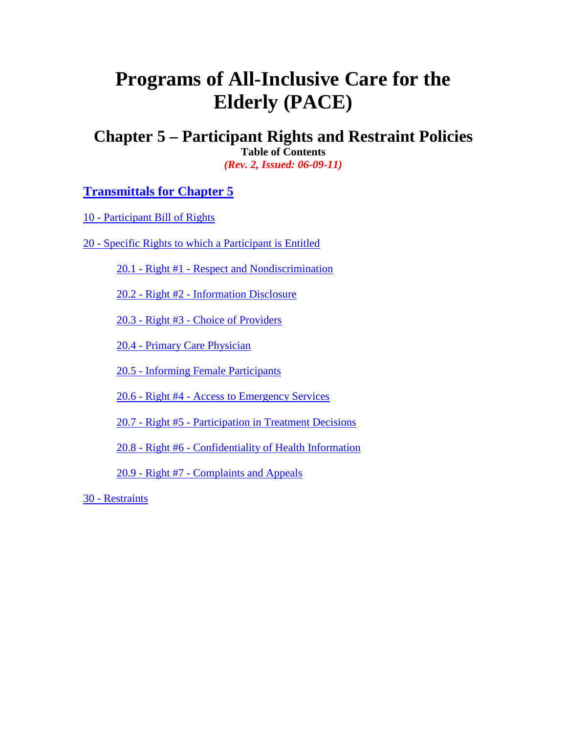# **Programs of All-Inclusive Care for the Elderly (PACE)**

**Chapter 5 – Participant Rights and Restraint Policies**

**Table of Contents** *(Rev. 2, Issued: 06-09-11)*

# **[Transmittals for Chapter 5](#page-8-0)**

10 - [Participant Bill of Rights](#page-1-0)

20 - [Specific Rights to which a Participant is Entitled](#page-1-1)

20.1 - Right #1 - [Respect and Nondiscrimination](#page-1-2)

20.2 - Right #2 - [Information Disclosure](#page-2-0)

20.3 - Right #3 - [Choice of Providers](#page-3-0)

20.4 - [Primary Care Physician](#page-3-1)

20.5 - [Informing Female Participants](#page-4-0)

20.6 - Right #4 - [Access to Emergency Services](#page-4-1)

20.7 - Right #5 - [Participation in Treatment Decisions](#page-4-2)

20.8 - Right #6 - [Confidentiality of Health Information](#page-5-0)

20.9 - Right #7 - [Complaints and Appeals](#page-5-1)

30 - [Restraints](#page-6-0)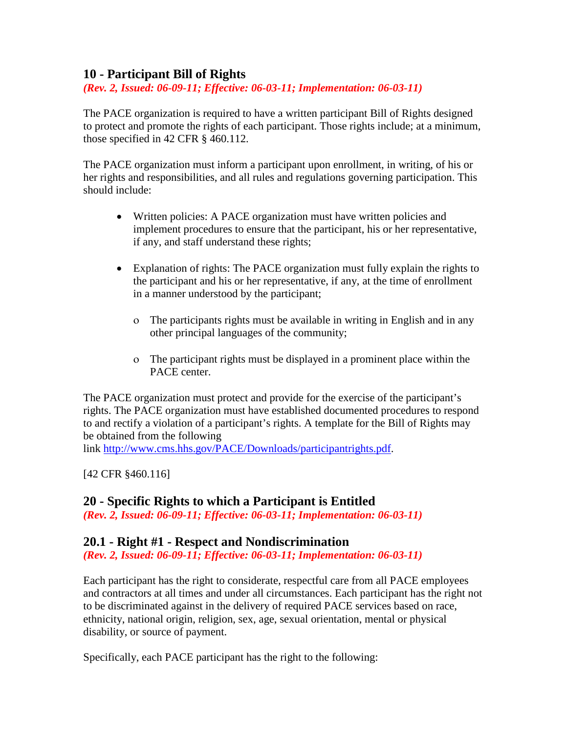## <span id="page-1-0"></span>**10 - Participant Bill of Rights**

*(Rev. 2, Issued: 06-09-11; Effective: 06-03-11; Implementation: 06-03-11)*

The PACE organization is required to have a written participant Bill of Rights designed to protect and promote the rights of each participant. Those rights include; at a minimum, those specified in 42 CFR § 460.112.

The PACE organization must inform a participant upon enrollment, in writing, of his or her rights and responsibilities, and all rules and regulations governing participation. This should include:

- Written policies: A PACE organization must have written policies and implement procedures to ensure that the participant, his or her representative, if any, and staff understand these rights;
- Explanation of rights: The PACE organization must fully explain the rights to the participant and his or her representative, if any, at the time of enrollment in a manner understood by the participant;
	- ο The participants rights must be available in writing in English and in any other principal languages of the community;
	- ο The participant rights must be displayed in a prominent place within the PACE center.

The PACE organization must protect and provide for the exercise of the participant's rights. The PACE organization must have established documented procedures to respond to and rectify a violation of a participant's rights. A template for the Bill of Rights may be obtained from the following

link [http://www.cms.hhs.gov/PACE/Downloads/participantrights.pdf.](http://www.cms.hhs.gov/PACE/Downloads/participantrights.pdf)

[42 CFR §460.116]

#### <span id="page-1-1"></span>**20 - Specific Rights to which a Participant is Entitled**

*(Rev. 2, Issued: 06-09-11; Effective: 06-03-11; Implementation: 06-03-11)*

#### <span id="page-1-2"></span>**20.1 - Right #1 - Respect and Nondiscrimination**

*(Rev. 2, Issued: 06-09-11; Effective: 06-03-11; Implementation: 06-03-11)*

Each participant has the right to considerate, respectful care from all PACE employees and contractors at all times and under all circumstances. Each participant has the right not to be discriminated against in the delivery of required PACE services based on race, ethnicity, national origin, religion, sex, age, sexual orientation, mental or physical disability, or source of payment.

Specifically, each PACE participant has the right to the following: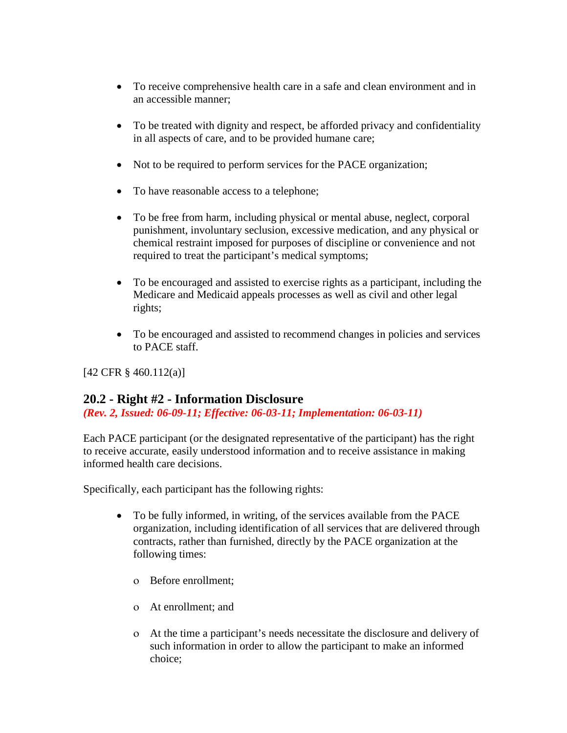- To receive comprehensive health care in a safe and clean environment and in an accessible manner;
- To be treated with dignity and respect, be afforded privacy and confidentiality in all aspects of care, and to be provided humane care;
- Not to be required to perform services for the PACE organization;
- To have reasonable access to a telephone;
- To be free from harm, including physical or mental abuse, neglect, corporal punishment, involuntary seclusion, excessive medication, and any physical or chemical restraint imposed for purposes of discipline or convenience and not required to treat the participant's medical symptoms;
- To be encouraged and assisted to exercise rights as a participant, including the Medicare and Medicaid appeals processes as well as civil and other legal rights;
- To be encouraged and assisted to recommend changes in policies and services to PACE staff.

[42 CFR § 460.112(a)]

#### <span id="page-2-0"></span>**20.2 - Right #2 - Information Disclosure**

*(Rev. 2, Issued: 06-09-11; Effective: 06-03-11; Implementation: 06-03-11)*

Each PACE participant (or the designated representative of the participant) has the right to receive accurate, easily understood information and to receive assistance in making informed health care decisions.

Specifically, each participant has the following rights:

- To be fully informed, in writing, of the services available from the PACE organization, including identification of all services that are delivered through contracts, rather than furnished, directly by the PACE organization at the following times:
	- ο Before enrollment;
	- ο At enrollment; and
	- ο At the time a participant's needs necessitate the disclosure and delivery of such information in order to allow the participant to make an informed choice;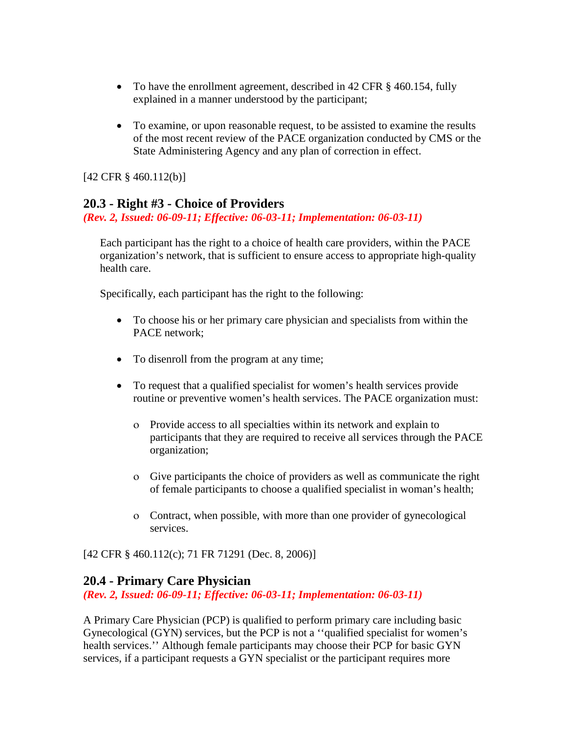- To have the enrollment agreement, described in 42 CFR § 460.154, fully explained in a manner understood by the participant;
- To examine, or upon reasonable request, to be assisted to examine the results of the most recent review of the PACE organization conducted by CMS or the State Administering Agency and any plan of correction in effect.

[42 CFR § 460.112(b)]

#### <span id="page-3-0"></span>**20.3 - Right #3 - Choice of Providers**

*(Rev. 2, Issued: 06-09-11; Effective: 06-03-11; Implementation: 06-03-11)*

Each participant has the right to a choice of health care providers, within the PACE organization's network, that is sufficient to ensure access to appropriate high-quality health care.

Specifically, each participant has the right to the following:

- To choose his or her primary care physician and specialists from within the PACE network;
- To disenroll from the program at any time;
- To request that a qualified specialist for women's health services provide routine or preventive women's health services. The PACE organization must:
	- ο Provide access to all specialties within its network and explain to participants that they are required to receive all services through the PACE organization;
	- ο Give participants the choice of providers as well as communicate the right of female participants to choose a qualified specialist in woman's health;
	- ο Contract, when possible, with more than one provider of gynecological services.

[42 CFR § 460.112(c); 71 FR 71291 (Dec. 8, 2006)]

#### <span id="page-3-1"></span>**20.4 - Primary Care Physician**

*(Rev. 2, Issued: 06-09-11; Effective: 06-03-11; Implementation: 06-03-11)*

A Primary Care Physician (PCP) is qualified to perform primary care including basic Gynecological (GYN) services, but the PCP is not a ''qualified specialist for women's health services.'' Although female participants may choose their PCP for basic GYN services, if a participant requests a GYN specialist or the participant requires more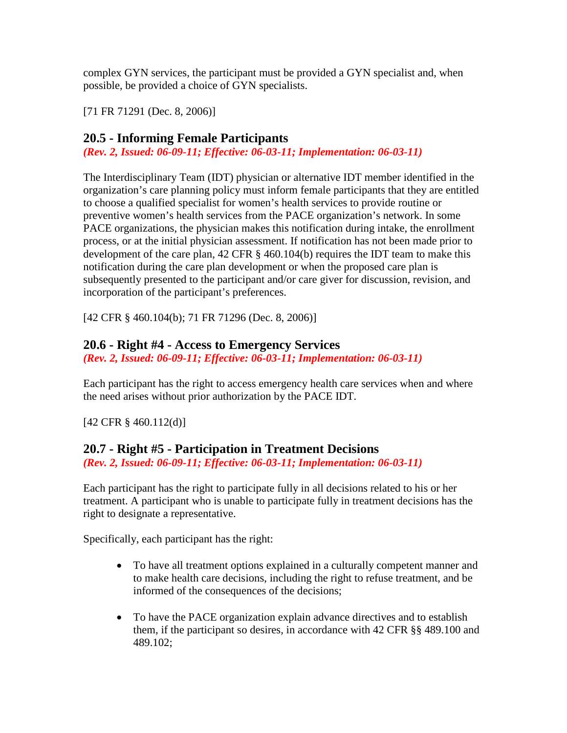complex GYN services, the participant must be provided a GYN specialist and, when possible, be provided a choice of GYN specialists.

[71 FR 71291 (Dec. 8, 2006)]

### <span id="page-4-0"></span>**20.5 - Informing Female Participants**

*(Rev. 2, Issued: 06-09-11; Effective: 06-03-11; Implementation: 06-03-11)*

The Interdisciplinary Team (IDT) physician or alternative IDT member identified in the organization's care planning policy must inform female participants that they are entitled to choose a qualified specialist for women's health services to provide routine or preventive women's health services from the PACE organization's network. In some PACE organizations, the physician makes this notification during intake, the enrollment process, or at the initial physician assessment. If notification has not been made prior to development of the care plan, 42 CFR § 460.104(b) requires the IDT team to make this notification during the care plan development or when the proposed care plan is subsequently presented to the participant and/or care giver for discussion, revision, and incorporation of the participant's preferences.

[42 CFR § 460.104(b); 71 FR 71296 (Dec. 8, 2006)]

# <span id="page-4-1"></span>**20.6 - Right #4 - Access to Emergency Services**

*(Rev. 2, Issued: 06-09-11; Effective: 06-03-11; Implementation: 06-03-11)*

Each participant has the right to access emergency health care services when and where the need arises without prior authorization by the PACE IDT.

[42 CFR § 460.112(d)]

# <span id="page-4-2"></span>**20.7 - Right #5 - Participation in Treatment Decisions**

*(Rev. 2, Issued: 06-09-11; Effective: 06-03-11; Implementation: 06-03-11)*

Each participant has the right to participate fully in all decisions related to his or her treatment. A participant who is unable to participate fully in treatment decisions has the right to designate a representative.

Specifically, each participant has the right:

- To have all treatment options explained in a culturally competent manner and to make health care decisions, including the right to refuse treatment, and be informed of the consequences of the decisions;
- To have the PACE organization explain advance directives and to establish them, if the participant so desires, in accordance with 42 CFR §§ 489.100 and 489.102;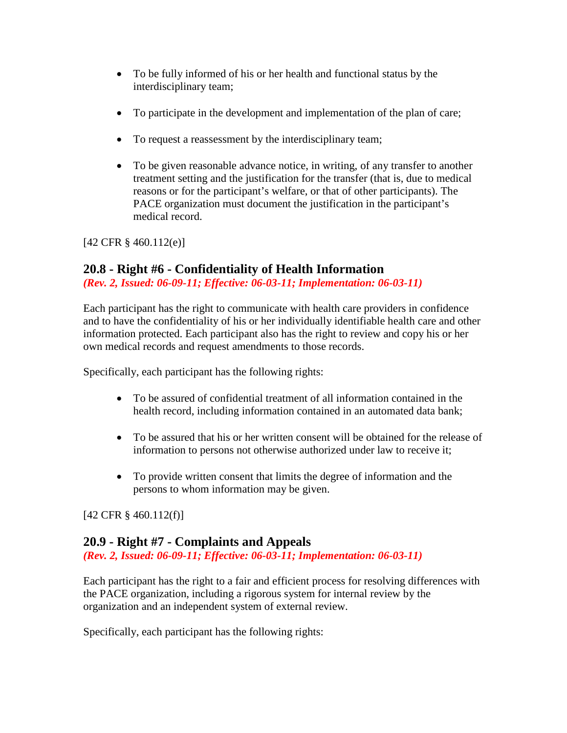- To be fully informed of his or her health and functional status by the interdisciplinary team;
- To participate in the development and implementation of the plan of care;
- To request a reassessment by the interdisciplinary team;
- To be given reasonable advance notice, in writing, of any transfer to another treatment setting and the justification for the transfer (that is, due to medical reasons or for the participant's welfare, or that of other participants). The PACE organization must document the justification in the participant's medical record.

[42 CFR § 460.112(e)]

#### <span id="page-5-0"></span>**20.8 - Right #6 - Confidentiality of Health Information**

*(Rev. 2, Issued: 06-09-11; Effective: 06-03-11; Implementation: 06-03-11)*

Each participant has the right to communicate with health care providers in confidence and to have the confidentiality of his or her individually identifiable health care and other information protected. Each participant also has the right to review and copy his or her own medical records and request amendments to those records.

Specifically, each participant has the following rights:

- To be assured of confidential treatment of all information contained in the health record, including information contained in an automated data bank;
- To be assured that his or her written consent will be obtained for the release of information to persons not otherwise authorized under law to receive it;
- To provide written consent that limits the degree of information and the persons to whom information may be given.

[42 CFR § 460.112(f)]

# <span id="page-5-1"></span>**20.9 - Right #7 - Complaints and Appeals**

*(Rev. 2, Issued: 06-09-11; Effective: 06-03-11; Implementation: 06-03-11)*

Each participant has the right to a fair and efficient process for resolving differences with the PACE organization, including a rigorous system for internal review by the organization and an independent system of external review.

Specifically, each participant has the following rights: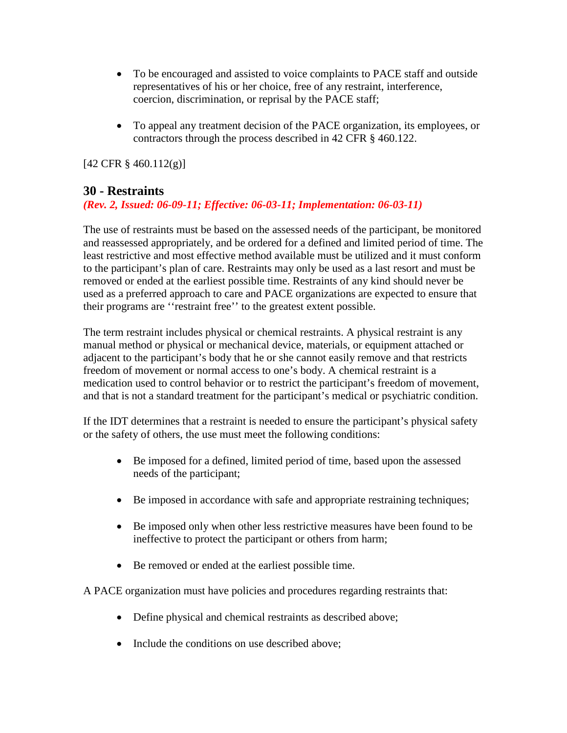- To be encouraged and assisted to voice complaints to PACE staff and outside representatives of his or her choice, free of any restraint, interference, coercion, discrimination, or reprisal by the PACE staff;
- To appeal any treatment decision of the PACE organization, its employees, or contractors through the process described in 42 CFR § 460.122.

[42 CFR § 460.112(g)]

## <span id="page-6-0"></span>**30 - Restraints**

#### *(Rev. 2, Issued: 06-09-11; Effective: 06-03-11; Implementation: 06-03-11)*

The use of restraints must be based on the assessed needs of the participant, be monitored and reassessed appropriately, and be ordered for a defined and limited period of time. The least restrictive and most effective method available must be utilized and it must conform to the participant's plan of care. Restraints may only be used as a last resort and must be removed or ended at the earliest possible time. Restraints of any kind should never be used as a preferred approach to care and PACE organizations are expected to ensure that their programs are ''restraint free'' to the greatest extent possible.

The term restraint includes physical or chemical restraints. A physical restraint is any manual method or physical or mechanical device, materials, or equipment attached or adjacent to the participant's body that he or she cannot easily remove and that restricts freedom of movement or normal access to one's body. A chemical restraint is a medication used to control behavior or to restrict the participant's freedom of movement, and that is not a standard treatment for the participant's medical or psychiatric condition.

If the IDT determines that a restraint is needed to ensure the participant's physical safety or the safety of others, the use must meet the following conditions:

- Be imposed for a defined, limited period of time, based upon the assessed needs of the participant;
- Be imposed in accordance with safe and appropriate restraining techniques;
- Be imposed only when other less restrictive measures have been found to be ineffective to protect the participant or others from harm;
- Be removed or ended at the earliest possible time.

A PACE organization must have policies and procedures regarding restraints that:

- Define physical and chemical restraints as described above;
- Include the conditions on use described above: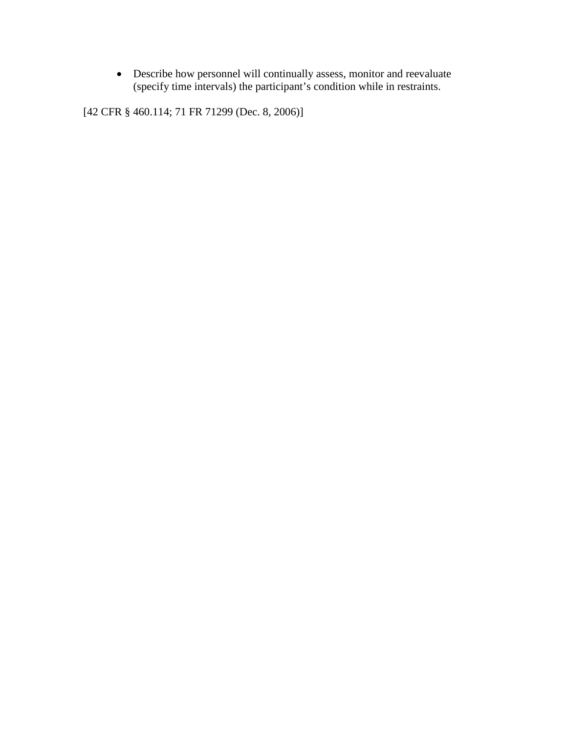• Describe how personnel will continually assess, monitor and reevaluate (specify time intervals) the participant's condition while in restraints.

[42 CFR § 460.114; 71 FR 71299 (Dec. 8, 2006)]